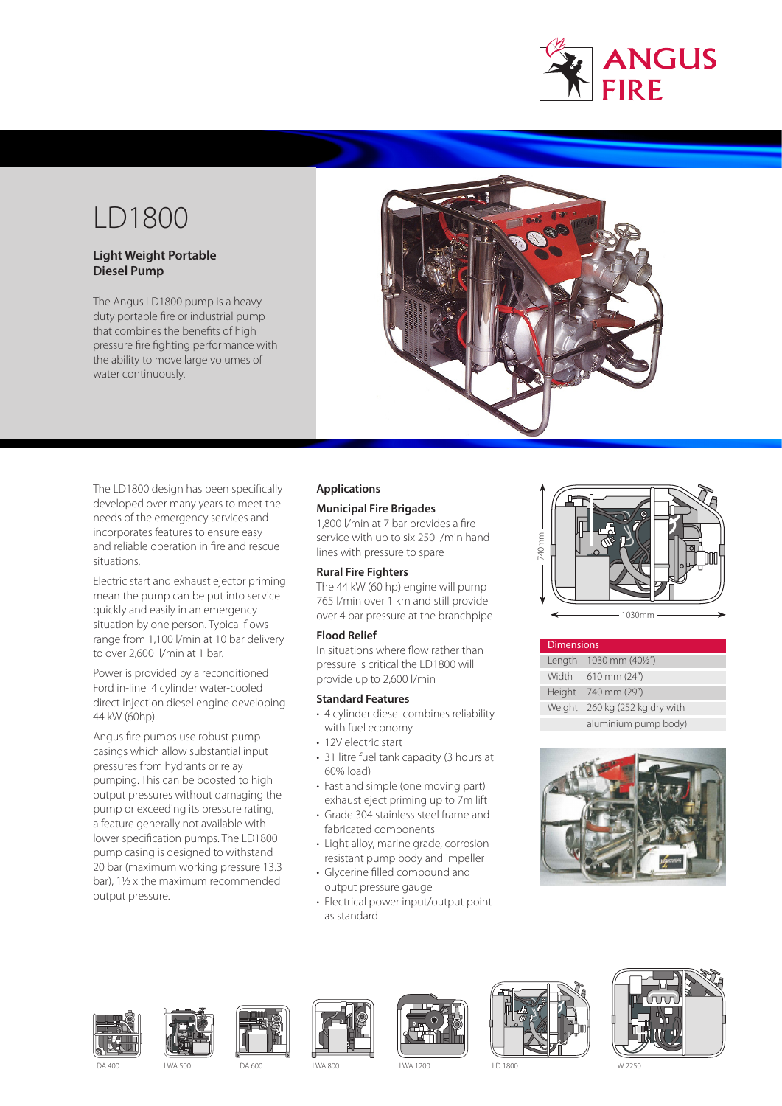

# LD1800

# **Light Weight Portable Diesel Pump**

The Angus LD1800 pump is a heavy duty portable fire or industrial pump that combines the benefits of high pressure fire fighting performance with the ability to move large volumes of water continuously.



The LD1800 design has been specifically developed over many years to meet the needs of the emergency services and incorporates features to ensure easy and reliable operation in fire and rescue situations.

Electric start and exhaust ejector priming mean the pump can be put into service quickly and easily in an emergency situation by one person. Typical flows range from 1,100 l/min at 10 bar delivery to over 2,600 l/min at 1 bar.

Power is provided by a reconditioned Ford in-line 4 cylinder water-cooled direct injection diesel engine developing 44 kW (60hp).

Angus fire pumps use robust pump casings which allow substantial input pressures from hydrants or relay pumping. This can be boosted to high output pressures without damaging the pump or exceeding its pressure rating, a feature generally not available with lower specification pumps. The LD1800 pump casing is designed to withstand 20 bar (maximum working pressure 13.3 bar), 1½ x the maximum recommended output pressure.

# **Applications**

# **Municipal Fire Brigades**

1,800 l/min at 7 bar provides a fire service with up to six 250 l/min hand lines with pressure to spare

# **Rural Fire Fighters**

The 44 kW (60 hp) engine will pump 765 l/min over 1 km and still provide over 4 bar pressure at the branchpipe

## **Flood Relief**

In situations where flow rather than pressure is critical the LD1800 will provide up to 2,600 l/min

# **Standard Features**

- 4 cylinder diesel combines reliability with fuel economy
- 12V electric start
- 31 litre fuel tank capacity (3 hours at 60% load)
- Fast and simple (one moving part) exhaust eject priming up to 7m lift
- Grade 304 stainless steel frame and fabricated components
- Light alloy, marine grade, corrosionresistant pump body and impeller
- Glycerine filled compound and output pressure gauge
- Electrical power input/output point as standard



| <b>Dimensions</b> |                         |  |
|-------------------|-------------------------|--|
|                   | Length 1030 mm (401/2") |  |
| Width             | $610$ mm $(24")$        |  |
|                   | Height 740 mm (29")     |  |
| Weight            | 260 kg (252 kg dry with |  |
|                   | aluminium pump body)    |  |

















LDA 400 LWA 500 LDA 600 LWA 800 LWA 1200 LD 1800 LW 2250